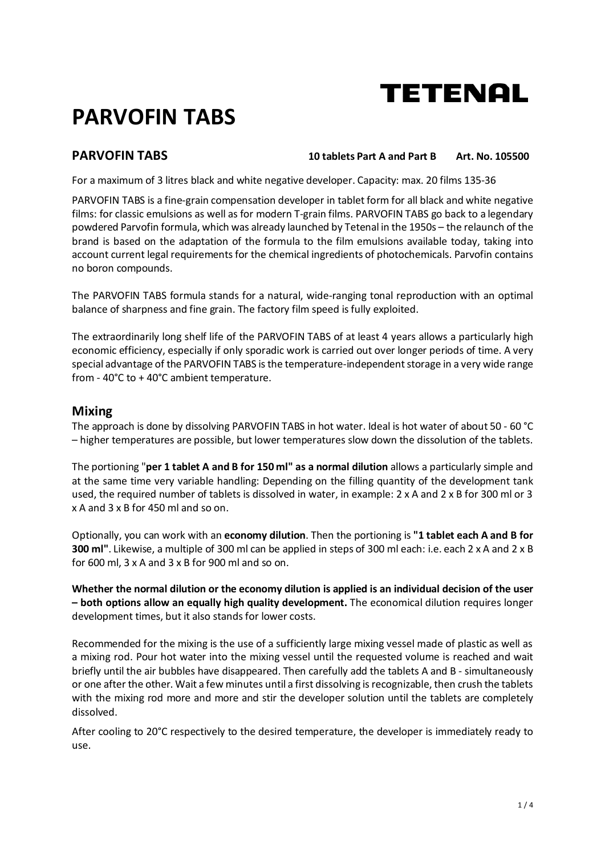# **PARVOFIN TABS**

**PARVOFIN TABS** 10 tablets Part A and Part B Art. No. 105500

For a maximum of 3 litres black and white negative developer. Capacity: max. 20 films 135-36

PARVOFIN TABS is a fine-grain compensation developer in tablet form for all black and white negative films: for classic emulsions as well as for modern T-grain films. PARVOFIN TABS go back to a legendary powdered Parvofin formula, which was already launched by Tetenal in the 1950s – the relaunch of the brand is based on the adaptation of the formula to the film emulsions available today, taking into account current legal requirements for the chemical ingredients of photochemicals. Parvofin contains no boron compounds.

The PARVOFIN TABS formula stands for a natural, wide-ranging tonal reproduction with an optimal balance of sharpness and fine grain. The factory film speed is fully exploited.

The extraordinarily long shelf life of the PARVOFIN TABS of at least 4 years allows a particularly high economic efficiency, especially if only sporadic work is carried out over longer periods of time. A very special advantage of the PARVOFIN TABS is the temperature-independent storage in a very wide range from - 40°C to + 40°C ambient temperature.

## **Mixing**

The approach is done by dissolving PARVOFIN TABS in hot water. Ideal is hot water of about 50 - 60 °C – higher temperatures are possible, but lower temperatures slow down the dissolution of the tablets.

The portioning "**per 1 tablet A and B for 150 ml" as a normal dilution** allows a particularly simple and at the same time very variable handling: Depending on the filling quantity of the development tank used, the required number of tablets is dissolved in water, in example: 2 x A and 2 x B for 300 ml or 3 x A and 3 x B for 450 ml and so on.

Optionally, you can work with an **economy dilution**. Then the portioning is **"1 tablet each A and B for 300 ml"**. Likewise, a multiple of 300 ml can be applied in steps of 300 ml each: i.e. each 2 x A and 2 x B for 600 ml, 3 x A and 3 x B for 900 ml and so on.

**Whether the normal dilution or the economy dilution is applied is an individual decision of the user – both options allow an equally high quality development.** The economical dilution requires longer development times, but it also stands for lower costs.

Recommended for the mixing is the use of a sufficiently large mixing vessel made of plastic as well as a mixing rod. Pour hot water into the mixing vessel until the requested volume is reached and wait briefly until the air bubbles have disappeared. Then carefully add the tablets A and B - simultaneously or one after the other. Wait a few minutes until a first dissolving is recognizable, then crush the tablets with the mixing rod more and more and stir the developer solution until the tablets are completely dissolved.

After cooling to 20°C respectively to the desired temperature, the developer is immediately ready to use.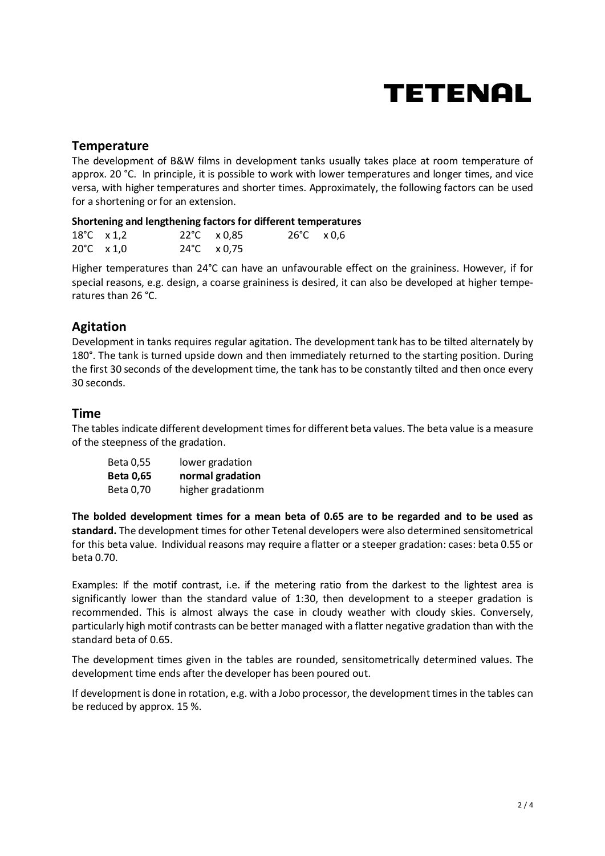### **Temperature**

The development of B&W films in development tanks usually takes place at room temperature of approx. 20 °C. In principle, it is possible to work with lower temperatures and longer times, and vice versa, with higher temperatures and shorter times. Approximately, the following factors can be used for a shortening or for an extension.

#### **Shortening and lengthening factors for different temperatures**

| 18°C $\times$ 1,2           |  | $22^{\circ}$ C $\times$ 0,85 | $26^{\circ}$ C $\times$ 0,6 |  |
|-----------------------------|--|------------------------------|-----------------------------|--|
| $20^{\circ}$ C $\times$ 1,0 |  | $24^{\circ}$ C $\times$ 0,75 |                             |  |

Higher temperatures than 24°C can have an unfavourable effect on the graininess. However, if for special reasons, e.g. design, a coarse graininess is desired, it can also be developed at higher temperatures than 26 °C.

# **Agitation**

Development in tanks requires regular agitation. The development tank has to be tilted alternately by 180°. The tank is turned upside down and then immediately returned to the starting position. During the first 30 seconds of the development time, the tank has to be constantly tilted and then once every 30 seconds.

### **Time**

The tables indicate different development times for different beta values. The beta value is a measure of the steepness of the gradation.

| Beta 0,55 | lower gradation   |
|-----------|-------------------|
| Beta 0,65 | normal gradation  |
| Beta 0,70 | higher gradationm |

**The bolded development times for a mean beta of 0.65 are to be regarded and to be used as standard.** The development times for other Tetenal developers were also determined sensitometrical for this beta value. Individual reasons may require a flatter or a steeper gradation: cases: beta 0.55 or beta 0.70.

Examples: If the motif contrast, i.e. if the metering ratio from the darkest to the lightest area is significantly lower than the standard value of 1:30, then development to a steeper gradation is recommended. This is almost always the case in cloudy weather with cloudy skies. Conversely, particularly high motif contrasts can be better managed with a flatter negative gradation than with the standard beta of 0.65.

The development times given in the tables are rounded, sensitometrically determined values. The development time ends after the developer has been poured out.

If development is done in rotation, e.g. with a Jobo processor, the development times in the tables can be reduced by approx. 15 %.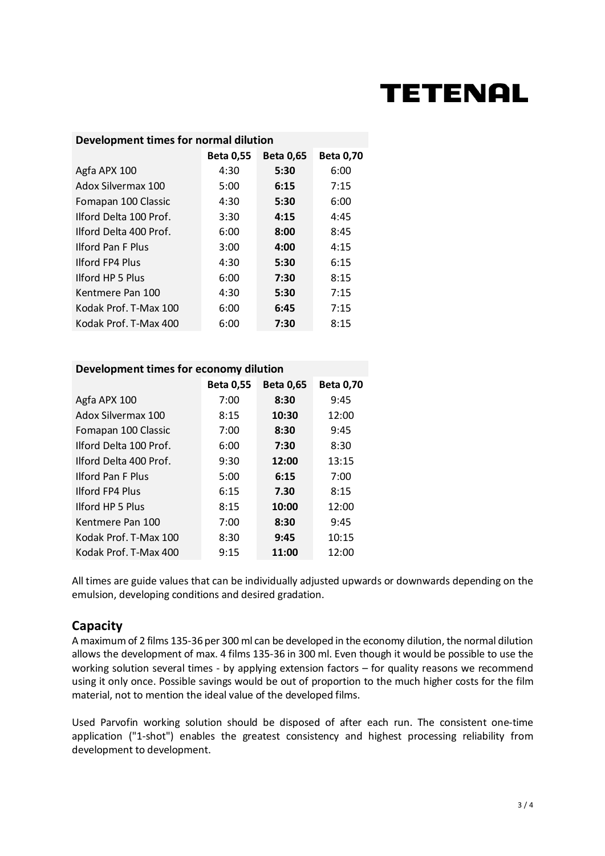| <b>Beta 0,55</b><br><b>Beta 0,65</b><br><b>Beta 0,70</b><br>Agfa APX 100<br>4:30<br>6:00<br>5:30 |  |
|--------------------------------------------------------------------------------------------------|--|
|                                                                                                  |  |
|                                                                                                  |  |
| Adox Silvermax 100<br>5:00<br>6:15<br>7:15                                                       |  |
| 6:00<br>Fomapan 100 Classic<br>4:30<br>5:30                                                      |  |
| Ilford Delta 100 Prof.<br>3:30<br>4:15<br>4:45                                                   |  |
| Ilford Delta 400 Prof.<br>8:45<br>6:00<br>8:00                                                   |  |
| <b>Ilford Pan F Plus</b><br>3:00<br>4:15<br>4:00                                                 |  |
| <b>Ilford FP4 Plus</b><br>6:15<br>4:30<br>5:30                                                   |  |
| <b>Ilford HP 5 Plus</b><br>8:15<br>6:00<br>7:30                                                  |  |
| 5:30<br>7:15<br>Kentmere Pan 100<br>4:30                                                         |  |
| Kodak Prof. T-Max 100<br>7:15<br>6:00<br>6:45                                                    |  |
| Kodak Prof. T-Max 400<br>8:15<br>7:30<br>6:00                                                    |  |

#### **Development times for economy dilution**

|                          | <b>Beta 0,55</b> | <b>Beta 0,65</b> | <b>Beta 0,70</b> |
|--------------------------|------------------|------------------|------------------|
| Agfa APX 100             | 7:00             | 8:30             | 9:45             |
| Adox Silvermax 100       | 8:15             | 10:30            | 12:00            |
| Fomapan 100 Classic      | 7:00             | 8:30             | 9:45             |
| Ilford Delta 100 Prof.   | 6:00             | 7:30             | 8:30             |
| Ilford Delta 400 Prof.   | 9:30             | 12:00            | 13:15            |
| <b>Ilford Pan F Plus</b> | 5:00             | 6:15             | 7:00             |
| <b>Ilford FP4 Plus</b>   | 6:15             | 7.30             | 8:15             |
| <b>Ilford HP 5 Plus</b>  | 8:15             | 10:00            | 12:00            |
| Kentmere Pan 100         | 7:00             | 8:30             | 9:45             |
| Kodak Prof. T-Max 100    | 8:30             | 9:45             | 10:15            |
| Kodak Prof. T-Max 400    | 9:15             | 11:00            | 12:00            |

All times are guide values that can be individually adjusted upwards or downwards depending on the emulsion, developing conditions and desired gradation.

## **Capacity**

A maximum of 2 films 135-36 per 300 ml can be developed in the economy dilution, the normal dilution allows the development of max. 4 films 135-36 in 300 ml. Even though it would be possible to use the working solution several times - by applying extension factors – for quality reasons we recommend using it only once. Possible savings would be out of proportion to the much higher costs for the film material, not to mention the ideal value of the developed films.

Used Parvofin working solution should be disposed of after each run. The consistent one-time application ("1-shot") enables the greatest consistency and highest processing reliability from development to development.